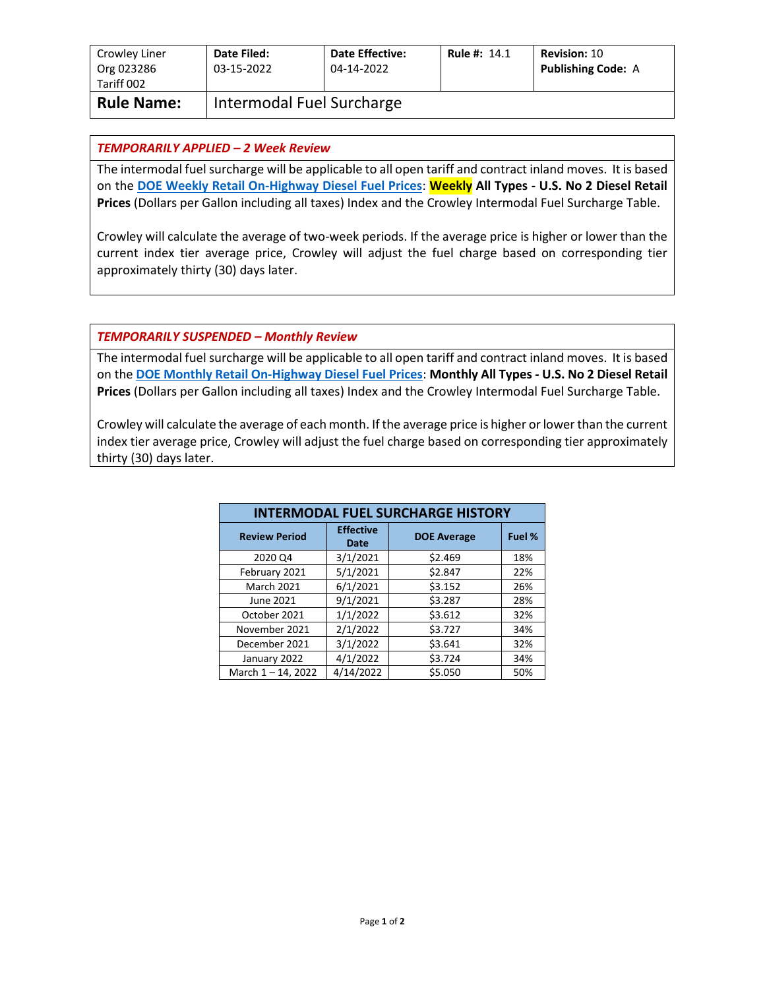| Crowley Liner<br>Org 023286<br>Tariff 002 | Date Filed:<br>03-15-2022 | <b>Date Effective:</b><br>04-14-2022 | <b>Rule #: 14.1</b> | <b>Revision: 10</b><br><b>Publishing Code: A</b> |
|-------------------------------------------|---------------------------|--------------------------------------|---------------------|--------------------------------------------------|
| <b>Rule Name:</b>                         | Intermodal Fuel Surcharge |                                      |                     |                                                  |

## *TEMPORARILY APPLIED – 2 Week Review*

The intermodal fuel surcharge will be applicable to all open tariff and contract inland moves. It is based on the **[DOE Weekly Retail On-Highway Diesel Fuel Prices](https://www.eia.gov/petroleum/gasdiesel/)**: **Weekly All Types - U.S. No 2 Diesel Retail Prices** (Dollars per Gallon including all taxes) Index and the Crowley Intermodal Fuel Surcharge Table.

Crowley will calculate the average of two-week periods. If the average price is higher or lower than the current index tier average price, Crowley will adjust the fuel charge based on corresponding tier approximately thirty (30) days later.

## *TEMPORARILY SUSPENDED – Monthly Review*

The intermodal fuel surcharge will be applicable to all open tariff and contract inland moves. It is based on the **[DOE Monthly Retail On-Highway Diesel Fuel Prices](https://www.eia.gov/petroleum/gasdiesel/)**: **Monthly All Types - U.S. No 2 Diesel Retail Prices** (Dollars per Gallon including all taxes) Index and the Crowley Intermodal Fuel Surcharge Table.

Crowley will calculate the average of each month. If the average price is higher or lower than the current index tier average price, Crowley will adjust the fuel charge based on corresponding tier approximately thirty (30) days later.

| <b>INTERMODAL FUEL SURCHARGE HISTORY</b> |                          |                    |        |  |  |
|------------------------------------------|--------------------------|--------------------|--------|--|--|
| <b>Review Period</b>                     | <b>Effective</b><br>Date | <b>DOE Average</b> | Fuel % |  |  |
| 2020 Q4                                  | 3/1/2021                 | \$2.469            | 18%    |  |  |
| February 2021                            | 5/1/2021                 | \$2.847            | 22%    |  |  |
| <b>March 2021</b>                        | 6/1/2021                 | \$3.152            | 26%    |  |  |
| June 2021                                | 9/1/2021                 | \$3.287            | 28%    |  |  |
| October 2021                             | 1/1/2022                 | \$3.612            | 32%    |  |  |
| November 2021                            | 2/1/2022                 | \$3.727            | 34%    |  |  |
| December 2021                            | 3/1/2022                 | \$3.641            | 32%    |  |  |
| January 2022                             | 4/1/2022                 | \$3.724            | 34%    |  |  |
| March 1-14, 2022                         | 4/14/2022                | \$5.050            | 50%    |  |  |